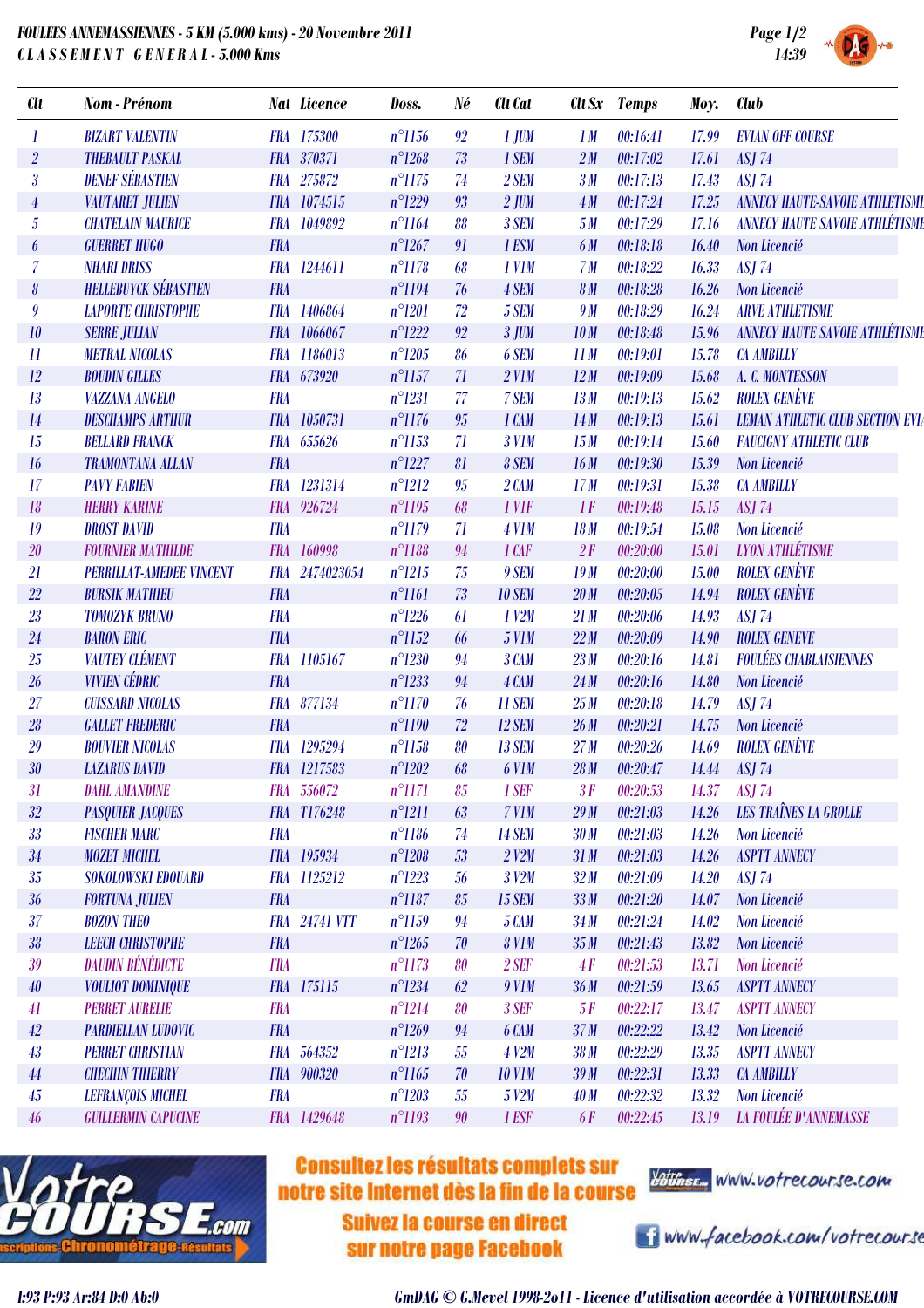## *FOULEES ANNEMASSIENNES - 5 KM (5.000 kms) - 20 Novembre 2011 C L A S S E M E N T G E N E R A L - 5.000 Kms*



| <b>Clt</b>                 | Nom - Prénom                    |            | <b>Nat Licence</b>   | Doss.           | Né | <b>Clt</b> Cat    | Clt Sx          | <b>Temps</b> | Moy.  | <b>Club</b>                             |
|----------------------------|---------------------------------|------------|----------------------|-----------------|----|-------------------|-----------------|--------------|-------|-----------------------------------------|
| 1                          | <b>BIZART VALENTIN</b>          |            | FRA 175300           | $n^{\circ}1156$ | 92 | $1$ JUM           | 1M              | 00:16:41     | 17.99 | <b>EVIAN OFF COURSE</b>                 |
| $\overline{2}$             | <b>THEBAULT PASKAL</b>          |            | FRA 370371           | $n^{\circ}1268$ | 73 | 1 SEM             | 2M              | 00:17:02     | 17.61 | <b>ASJ 74</b>                           |
| $\overline{\mathbf{3}}$    | <b>DENEF SÉBASTIEN</b>          |            | FRA 275872           | $n^{\circ}1175$ | 74 | 2 SEM             | 3M              | 00:17:13     | 17.43 | <b>ASJ 74</b>                           |
| $\boldsymbol{4}$           | <b>VAUTARET JULIEN</b>          |            | FRA 1074515          | $n^{\circ}1229$ | 93 | $2$ JUM           | 4M              | 00:17:24     | 17.25 | <b>ANNECY HAUTE SAVOIE ATHLETISME</b>   |
| $\overline{5}$             | <b>CHATELAIN MAURICE</b>        |            | FRA 1049892          | $n^{\circ}1164$ | 88 | 3 SEM             | 5M              | 00:17:29     | 17.16 | <b>ANNECY HAUTE SAVOIE ATHLÉTISME</b>   |
| 6                          | <b>GUERRET HUGO</b>             | <b>FRA</b> |                      | $n^{\circ}1267$ | 91 | 1 ESM             | 6 M             | 00:18:18     | 16.40 | Non Licencié                            |
| $\overline{7}$             | <b>NHARI DRISS</b>              |            | FRA 1244611          | $n^{\circ}1178$ | 68 | 1 V <sub>IM</sub> | 7 <sub>M</sub>  | 00:18:22     | 16.33 | <b>ASJ 74</b>                           |
| $\boldsymbol{\delta}$      | <b>HELLEBUYCK SÉBASTIEN</b>     | <b>FRA</b> |                      | $n^{\circ}1194$ | 76 | 4 SEM             | 8 <sub>M</sub>  | 00:18:28     | 16.26 | Non Licencié                            |
| 9                          | <b>LAPORTE CHRISTOPHE</b>       |            | FRA 1406864          | $n^{\circ}1201$ | 72 | 5 SEM             | 9 M             | 00:18:29     | 16.24 | <b>ARVE ATHLETISME</b>                  |
| 10                         | <b>SERRE JULIAN</b>             |            | FRA 1066067          | $n^{\circ}1222$ | 92 | $3$ JUM           | 10 <sub>M</sub> | 00:18:48     | 15.96 | <b>ANNECY HAUTE SAVOIE ATHLÉTISME</b>   |
| $\boldsymbol{\mathit{11}}$ | <b>METRAL NICOLAS</b>           |            | FRA 1186013          | $n^{\circ}1205$ | 86 | 6 SEM             | 11M             | 00:19:01     | 15.78 | <b>CA AMBILLY</b>                       |
| 12                         | <b>BOUDIN GILLES</b>            |            | FRA 673920           | $n^{\circ}1157$ | 71 | $2$ V1M           | 12M             | 00:19:09     | 15.68 | A. C. MONTESSON                         |
| 13                         | <b>VAZZANA ANGELO</b>           | <b>FRA</b> |                      | $n^{\circ}1231$ | 77 | 7 SEM             | 13M             | 00:19:13     | 15.62 | <b>ROLEX GENÈVE</b>                     |
| 14                         | <b>DESCHAMPS ARTHUR</b>         |            | FRA 1050731          | $n^{\circ}1176$ | 95 | 1 CAM             | 14M             | 00:19:13     | 15.61 | <b>LEMAN ATHLETIC CLUB SECTION EVIA</b> |
| 15                         | <b>BELLARD FRANCK</b>           |            | FRA 655626           | $n^{\circ}1153$ | 71 | <b>3 V1M</b>      | 15M             | 00:19:14     | 15.60 | <b>FAUCIGNY ATHLETIC CLUB</b>           |
| 16                         | <b>TRAMONTANA ALLAN</b>         | <b>FRA</b> |                      | $n^{\circ}1227$ | 81 | 8 SEM             | 16M             | 00:19:30     | 15.39 | Non Licencié                            |
| 17                         | <b>PAVY FABIEN</b>              |            | FRA 1231314          | $n^{\circ}1212$ | 95 | $2$ $CAM$         | 17M             | 00:19:31     | 15.38 | <b>CA AMBILLY</b>                       |
| 18                         | <b>HERRY KARINE</b>             |            | FRA 926724           | $n^{\circ}1195$ | 68 | 1 VIF             | 1F              | 00:19:48     | 15.15 | <b>ASJ 74</b>                           |
| 19                         | <b>DROST DAVID</b>              | <b>FRA</b> |                      | $n^{\circ}1179$ | 71 | $4$ V1M           | 18M             | 00:19:54     | 15.08 | Non Licencié                            |
| 20                         | <b>FOURNIER MATHILDE</b>        |            | FRA 160998           | $n^{\circ}1188$ | 94 | $1$ $CAF$         | 2F              | 00:20:00     | 15.01 | <b>LYON ATHLÉTISME</b>                  |
| 21                         | <b>PERRILLAT-AMEDEE VINCENT</b> |            | FRA 2474023054       | $n^{\circ}1215$ | 75 | 9 SEM             | 19M             | 00:20:00     | 15.00 | <b>ROLEX GENÈVE</b>                     |
| $22\,$                     | <b>BURSIK MATHIEU</b>           | <b>FRA</b> |                      | $n^{\circ}1161$ | 73 | <b>10 SEM</b>     | 20 <sub>M</sub> | 00:20:05     | 14.94 | <b>ROLEX GENÈVE</b>                     |
| 23                         | <b>TOMOZYK BRUNO</b>            | <b>FRA</b> |                      | $n^{\circ}1226$ | 61 | $1$ $V2M$         | 21M             | 00:20:06     | 14.93 | <b>ASJ 74</b>                           |
| 24                         | <b>BARON ERIC</b>               | <b>FRA</b> |                      | $n^{\circ}1152$ | 66 | <b>5 V1M</b>      | 22M             | 00:20:09     | 14.90 | <b>ROLEX GENEVE</b>                     |
| 25                         | <b>VAUTEY CLÉMENT</b>           |            | FRA 1105167          | $n^{\circ}1230$ | 94 | 3 CAM             | 23M             | 00:20:16     | 14.81 | <b>FOULÉES CHABLAISIENNES</b>           |
| 26                         | <b>VIVIEN CÉDRIC</b>            | <b>FRA</b> |                      | $n^{\circ}1233$ | 94 | 4 CAM             | 24M             | 00:20:16     | 14.80 | Non Licencié                            |
| 27                         | <b>CUISSARD NICOLAS</b>         |            | FRA 877134           | $n^{\circ}1170$ | 76 | <b>11 SEM</b>     | 25M             | 00:20:18     | 14.79 | <b>ASJ 74</b>                           |
| 28                         | <b>GALLET FREDERIC</b>          | <b>FRA</b> |                      | $n^{\circ}1190$ | 72 | <b>12 SEM</b>     | 26M             | 00:20:21     | 14.75 | Non Licencié                            |
| 29                         | <b>BOUVIER NICOLAS</b>          |            | FRA 1295294          | $n^{\circ}1158$ | 80 | <b>13 SEM</b>     | 27 <sub>M</sub> | 00:20:26     | 14.69 | <b>ROLEX GENÈVE</b>                     |
| $30\,$                     | <b>LAZARUS DAVID</b>            |            | FRA 1217583          | $n^{\circ}1202$ | 68 | 6 V1M             | 28M             | 00:20:47     | 14.44 | <b>ASJ 74</b>                           |
| 31                         | <b>DAHL AMANDINE</b>            |            | FRA 556072           | $n^{\circ}1171$ | 85 | 1 SEF             | 3F              | 00:20:53     | 14.37 | <b>ASJ 74</b>                           |
| $32\,$                     | <b>PASQUIER JACQUES</b>         |            | FRA T176248          | $n^{\circ}1211$ | 63 | 7 V1M             | 29M             | 00:21:03     | 14.26 | <b>LES TRAÎNES LA GROLLE</b>            |
| 33                         | <b>FISCHER MARC</b>             | <b>FRA</b> |                      | $n^{\circ}1186$ | 74 | <b>14 SEM</b>     | 30 M            | 00:21:03     | 14.26 | Non Licencié                            |
| $34\,$                     | <b>MOZET MICHEL</b>             |            | FRA 195934           | $n^{\circ}1208$ | 53 | $2$ V2M           | 31M             | 00:21:03     | 14.26 | <b>ASPTT ANNECY</b>                     |
| 35                         | SOKOLOWSKI EDOUARD              |            | FRA 1125212          | $n^{\circ}1223$ | 56 | 3 V2M             | 32M             | 00:21:09     | 14.20 | <b>ASJ 74</b>                           |
| 36                         | <b>FORTUNA JULIEN</b>           | <b>FRA</b> |                      | $n^{\circ}1187$ | 85 | <b>15 SEM</b>     | 33M             | 00:21:20     | 14.07 | Non Licencié                            |
| 37                         | <b>BOZON THEO</b>               |            | <b>FRA</b> 24741 VTT | $n^{\circ}1159$ | 94 | 5 CAM             | 34M             | 00:21:24     | 14.02 | Non Licencié                            |
| 38                         | <b>LEECH CHRISTOPHE</b>         | <b>FRA</b> |                      | $n^{\circ}1265$ | 70 | <b>8 V1M</b>      | 35M             | 00:21:43     | 13.82 | Non Licencié                            |
| 39                         | <b>DAUDIN BÉNÉDICTE</b>         | <b>FRA</b> |                      | $n^{\circ}1173$ | 80 | $2$ SEF           | 4F              | 00:21:53     | 13.71 | Non Licencié                            |
| 40                         | <b>VOULIOT DOMINIQUE</b>        |            | FRA 175115           | $n^{\circ}1234$ | 62 | 9 V1M             | 36 <sub>M</sub> | 00:21:59     | 13.65 | <b>ASPTT ANNECY</b>                     |
| 41                         | <b>PERRET AURELIE</b>           | <b>FRA</b> |                      | $n^{\circ}1214$ | 80 | 3 SEF             | 5F              | 00:22:17     | 13.47 | <b>ASPTT ANNECY</b>                     |
| 42                         | <b>PARDIELLAN LUDOVIC</b>       | <b>FRA</b> |                      | $n^{\circ}1269$ | 94 | 6 CAM             | 37 <sub>M</sub> | 00:22:22     | 13.42 | Non Licencié                            |
| 43                         | <b>PERRET CHRISTIAN</b>         |            | FRA 564352           | $n^{\circ}1213$ | 55 | 4 V2M             | 38 <sub>M</sub> | 00:22:29     | 13.35 | <b>ASPTT ANNECY</b>                     |
| 44                         | <b>CHECHIN THIERRY</b>          |            | FRA 900320           | $n^{\circ}1165$ | 70 | <b>10 V1M</b>     | 39M             | 00:22:31     | 13.33 | <b>CA AMBILLY</b>                       |
| $45\,$                     | <b>LEFRANÇOIS MICHEL</b>        | <b>FRA</b> |                      | $n^{\circ}1203$ | 55 | 5 V2M             | 40M             | 00:22:32     | 13.32 | Non Licencié                            |
| 46                         | <b>GUILLERMIN CAPUCINE</b>      |            | FRA 1429648          | $n^{\circ}1193$ | 90 | 1 ESF             | <b>6F</b>       | 00:22:45     | 13.19 | <b>LA FOULÉE D'ANNEMASSE</b>            |
|                            |                                 |            |                      |                 |    |                   |                 |              |       |                                         |



## **Consultez les résultats complets sur** notre site Internet dès la fin de la course

Suivez la course en direct sur notre page Facebook



i www.facebook.com/votrecourse

*I:93 P:93 Ar:84 D:0 Ab:0 GmDAG © G.Mevel 1998-2o11 - Licence d'utilisation accordée à VOTRECOURSE.COM*